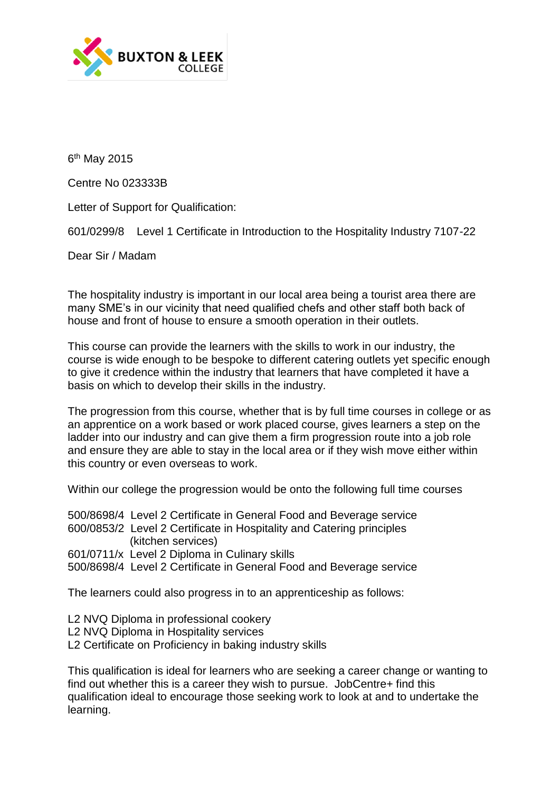

6<sup>th</sup> May 2015

Centre No 023333B

Letter of Support for Qualification:

601/0299/8 Level 1 Certificate in Introduction to the Hospitality Industry 7107-22

Dear Sir / Madam

The hospitality industry is important in our local area being a tourist area there are many SME's in our vicinity that need qualified chefs and other staff both back of house and front of house to ensure a smooth operation in their outlets.

This course can provide the learners with the skills to work in our industry, the course is wide enough to be bespoke to different catering outlets yet specific enough to give it credence within the industry that learners that have completed it have a basis on which to develop their skills in the industry.

The progression from this course, whether that is by full time courses in college or as an apprentice on a work based or work placed course, gives learners a step on the ladder into our industry and can give them a firm progression route into a job role and ensure they are able to stay in the local area or if they wish move either within this country or even overseas to work.

Within our college the progression would be onto the following full time courses

500/8698/4 Level 2 Certificate in General Food and Beverage service 600/0853/2 Level 2 Certificate in Hospitality and Catering principles (kitchen services) 601/0711/x Level 2 Diploma in Culinary skills 500/8698/4 Level 2 Certificate in General Food and Beverage service

The learners could also progress in to an apprenticeship as follows:

- L2 NVQ Diploma in professional cookery
- L2 NVQ Diploma in Hospitality services
- L2 Certificate on Proficiency in baking industry skills

This qualification is ideal for learners who are seeking a career change or wanting to find out whether this is a career they wish to pursue. JobCentre+ find this qualification ideal to encourage those seeking work to look at and to undertake the learning.